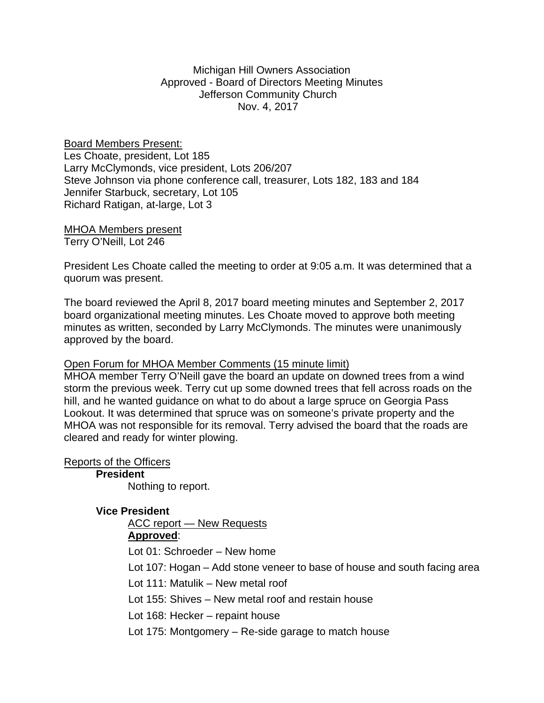Michigan Hill Owners Association Approved - Board of Directors Meeting Minutes Jefferson Community Church Nov. 4, 2017

Board Members Present: Les Choate, president, Lot 185 Larry McClymonds, vice president, Lots 206/207 Steve Johnson via phone conference call, treasurer, Lots 182, 183 and 184 Jennifer Starbuck, secretary, Lot 105 Richard Ratigan, at-large, Lot 3

MHOA Members present Terry O'Neill, Lot 246

President Les Choate called the meeting to order at 9:05 a.m. It was determined that a quorum was present.

The board reviewed the April 8, 2017 board meeting minutes and September 2, 2017 board organizational meeting minutes. Les Choate moved to approve both meeting minutes as written, seconded by Larry McClymonds. The minutes were unanimously approved by the board.

### Open Forum for MHOA Member Comments (15 minute limit)

MHOA member Terry O'Neill gave the board an update on downed trees from a wind storm the previous week. Terry cut up some downed trees that fell across roads on the hill, and he wanted guidance on what to do about a large spruce on Georgia Pass Lookout. It was determined that spruce was on someone's private property and the MHOA was not responsible for its removal. Terry advised the board that the roads are cleared and ready for winter plowing.

### Reports of the Officers

**President**

Nothing to report.

#### **Vice President**

ACC report — New Requests

### **Approved**:

Lot 01: Schroeder – New home

Lot 107: Hogan – Add stone veneer to base of house and south facing area

Lot 111: Matulik – New metal roof

Lot 155: Shives – New metal roof and restain house

Lot 168: Hecker – repaint house

Lot 175: Montgomery – Re-side garage to match house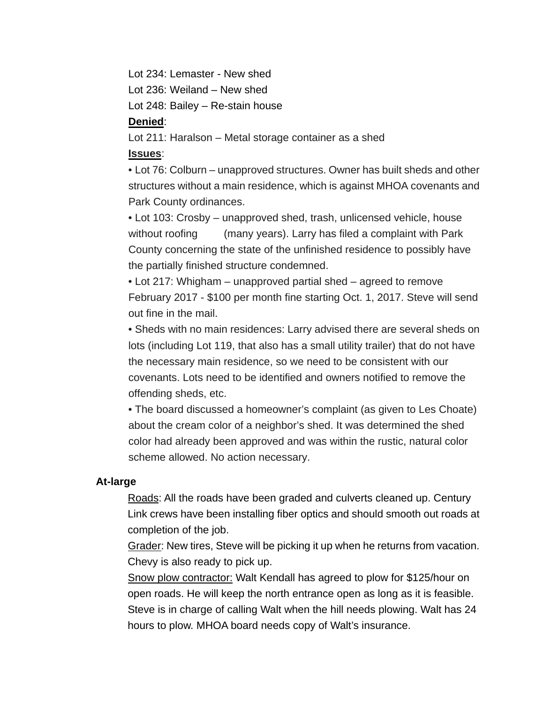Lot 234: Lemaster - New shed

Lot 236: Weiland – New shed

Lot 248: Bailey – Re-stain house

# **Denied**:

Lot 211: Haralson – Metal storage container as a shed

# **Issues**:

• Lot 76: Colburn – unapproved structures. Owner has built sheds and other structures without a main residence, which is against MHOA covenants and Park County ordinances.

• Lot 103: Crosby – unapproved shed, trash, unlicensed vehicle, house without roofing (many years). Larry has filed a complaint with Park County concerning the state of the unfinished residence to possibly have the partially finished structure condemned.

• Lot 217: Whigham – unapproved partial shed – agreed to remove February 2017 - \$100 per month fine starting Oct. 1, 2017. Steve will send out fine in the mail.

• Sheds with no main residences: Larry advised there are several sheds on lots (including Lot 119, that also has a small utility trailer) that do not have the necessary main residence, so we need to be consistent with our covenants. Lots need to be identified and owners notified to remove the offending sheds, etc.

• The board discussed a homeowner's complaint (as given to Les Choate) about the cream color of a neighbor's shed. It was determined the shed color had already been approved and was within the rustic, natural color scheme allowed. No action necessary.

# **At-large**

 Roads: All the roads have been graded and culverts cleaned up. Century Link crews have been installing fiber optics and should smooth out roads at completion of the job.

 Grader: New tires, Steve will be picking it up when he returns from vacation. Chevy is also ready to pick up.

 Snow plow contractor: Walt Kendall has agreed to plow for \$125/hour on open roads. He will keep the north entrance open as long as it is feasible. Steve is in charge of calling Walt when the hill needs plowing. Walt has 24 hours to plow. MHOA board needs copy of Walt's insurance.